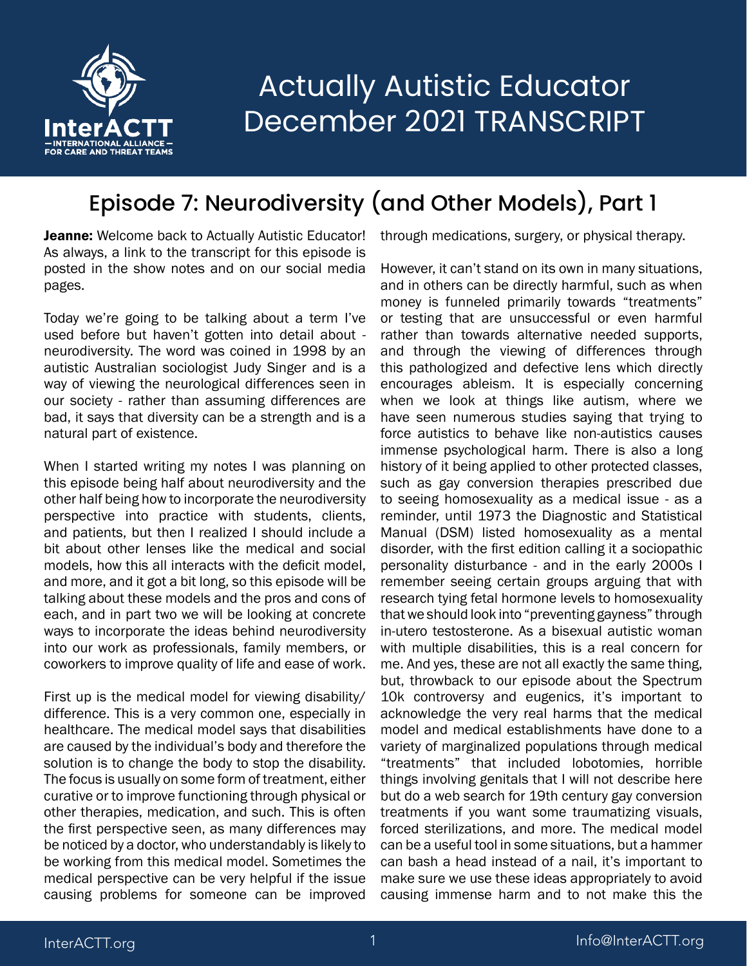

#### Episode 7: Neurodiversity (and Other Models), Part 1

Jeanne: Welcome back to Actually Autistic Educator! As always, a link to the transcript for this episode is posted in the show notes and on our social media pages.

Today we're going to be talking about a term I've used before but haven't gotten into detail about neurodiversity. The word was coined in 1998 by an autistic Australian sociologist Judy Singer and is a way of viewing the neurological differences seen in our society - rather than assuming differences are bad, it says that diversity can be a strength and is a natural part of existence.

When I started writing my notes I was planning on this episode being half about neurodiversity and the other half being how to incorporate the neurodiversity perspective into practice with students, clients, and patients, but then I realized I should include a bit about other lenses like the medical and social models, how this all interacts with the deficit model, and more, and it got a bit long, so this episode will be talking about these models and the pros and cons of each, and in part two we will be looking at concrete ways to incorporate the ideas behind neurodiversity into our work as professionals, family members, or coworkers to improve quality of life and ease of work.

First up is the medical model for viewing disability/ difference. This is a very common one, especially in healthcare. The medical model says that disabilities are caused by the individual's body and therefore the solution is to change the body to stop the disability. The focus is usually on some form of treatment, either curative or to improve functioning through physical or other therapies, medication, and such. This is often the first perspective seen, as many differences may be noticed by a doctor, who understandably is likely to be working from this medical model. Sometimes the medical perspective can be very helpful if the issue causing problems for someone can be improved through medications, surgery, or physical therapy.

However, it can't stand on its own in many situations, and in others can be directly harmful, such as when money is funneled primarily towards "treatments" or testing that are unsuccessful or even harmful rather than towards alternative needed supports, and through the viewing of differences through this pathologized and defective lens which directly encourages ableism. It is especially concerning when we look at things like autism, where we have seen numerous studies saying that trying to force autistics to behave like non-autistics causes immense psychological harm. There is also a long history of it being applied to other protected classes, such as gay conversion therapies prescribed due to seeing homosexuality as a medical issue - as a reminder, until 1973 the Diagnostic and Statistical Manual (DSM) listed homosexuality as a mental disorder, with the first edition calling it a sociopathic personality disturbance - and in the early 2000s I remember seeing certain groups arguing that with research tying fetal hormone levels to homosexuality that we should look into "preventing gayness" through in-utero testosterone. As a bisexual autistic woman with multiple disabilities, this is a real concern for me. And yes, these are not all exactly the same thing, but, throwback to our episode about the Spectrum 10k controversy and eugenics, it's important to acknowledge the very real harms that the medical model and medical establishments have done to a variety of marginalized populations through medical "treatments" that included lobotomies, horrible things involving genitals that I will not describe here but do a web search for 19th century gay conversion treatments if you want some traumatizing visuals, forced sterilizations, and more. The medical model can be a useful tool in some situations, but a hammer can bash a head instead of a nail, it's important to make sure we use these ideas appropriately to avoid causing immense harm and to not make this the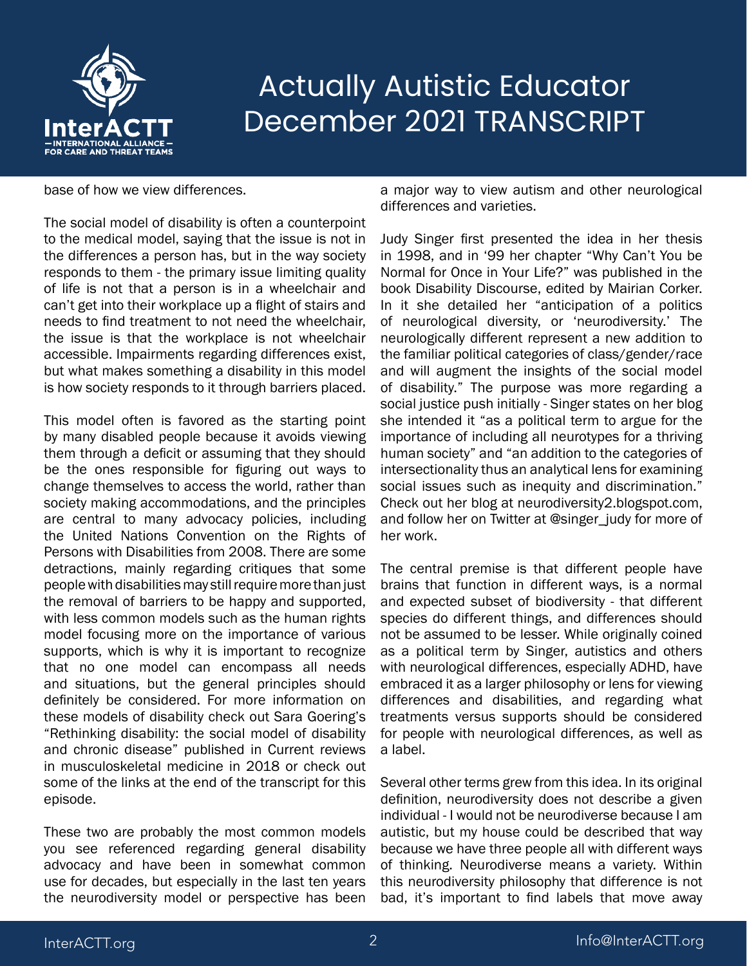

#### base of how we view differences.

The social model of disability is often a counterpoint to the medical model, saying that the issue is not in the differences a person has, but in the way society responds to them - the primary issue limiting quality of life is not that a person is in a wheelchair and can't get into their workplace up a flight of stairs and needs to find treatment to not need the wheelchair, the issue is that the workplace is not wheelchair accessible. Impairments regarding differences exist, but what makes something a disability in this model is how society responds to it through barriers placed.

This model often is favored as the starting point by many disabled people because it avoids viewing them through a deficit or assuming that they should be the ones responsible for figuring out ways to change themselves to access the world, rather than society making accommodations, and the principles are central to many advocacy policies, including the United Nations Convention on the Rights of Persons with Disabilities from 2008. There are some detractions, mainly regarding critiques that some people with disabilities may still require more than just the removal of barriers to be happy and supported, with less common models such as the human rights model focusing more on the importance of various supports, which is why it is important to recognize that no one model can encompass all needs and situations, but the general principles should definitely be considered. For more information on these models of disability check out Sara Goering's "Rethinking disability: the social model of disability and chronic disease" published in Current reviews in musculoskeletal medicine in 2018 or check out some of the links at the end of the transcript for this episode.

These two are probably the most common models you see referenced regarding general disability advocacy and have been in somewhat common use for decades, but especially in the last ten years the neurodiversity model or perspective has been

a major way to view autism and other neurological differences and varieties.

Judy Singer first presented the idea in her thesis in 1998, and in '99 her chapter "Why Can't You be Normal for Once in Your Life?" was published in the book Disability Discourse, edited by Mairian Corker. In it she detailed her "anticipation of a politics of neurological diversity, or 'neurodiversity.' The neurologically different represent a new addition to the familiar political categories of class/gender/race and will augment the insights of the social model of disability." The purpose was more regarding a social justice push initially - Singer states on her blog she intended it "as a political term to argue for the importance of including all neurotypes for a thriving human society" and "an addition to the categories of intersectionality thus an analytical lens for examining social issues such as inequity and discrimination." Check out her blog at neurodiversity2.blogspot.com, and follow her on Twitter at @singer\_judy for more of her work.

The central premise is that different people have brains that function in different ways, is a normal and expected subset of biodiversity - that different species do different things, and differences should not be assumed to be lesser. While originally coined as a political term by Singer, autistics and others with neurological differences, especially ADHD, have embraced it as a larger philosophy or lens for viewing differences and disabilities, and regarding what treatments versus supports should be considered for people with neurological differences, as well as a label.

Several other terms grew from this idea. In its original definition, neurodiversity does not describe a given individual - I would not be neurodiverse because I am autistic, but my house could be described that way because we have three people all with different ways of thinking. Neurodiverse means a variety. Within this neurodiversity philosophy that difference is not bad, it's important to find labels that move away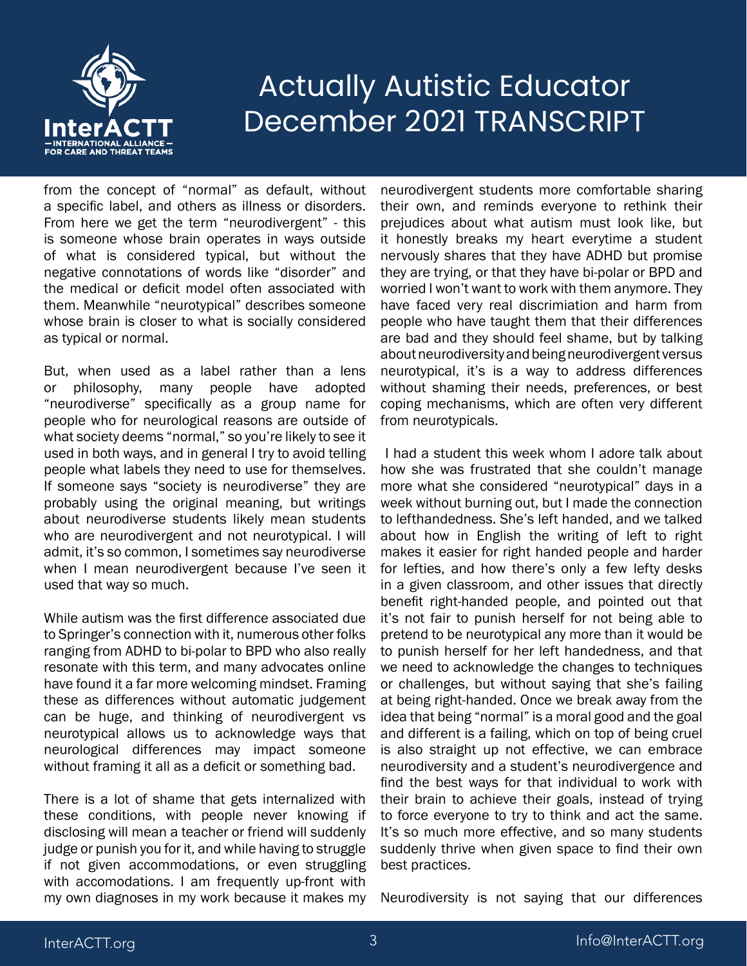

from the concept of "normal" as default, without a specific label, and others as illness or disorders. From here we get the term "neurodivergent" - this is someone whose brain operates in ways outside of what is considered typical, but without the negative connotations of words like "disorder" and the medical or deficit model often associated with them. Meanwhile "neurotypical" describes someone whose brain is closer to what is socially considered as typical or normal.

But, when used as a label rather than a lens or philosophy, many people have adopted "neurodiverse" specifically as a group name for people who for neurological reasons are outside of what society deems "normal," so you're likely to see it used in both ways, and in general I try to avoid telling people what labels they need to use for themselves. If someone says "society is neurodiverse" they are probably using the original meaning, but writings about neurodiverse students likely mean students who are neurodivergent and not neurotypical. I will admit, it's so common, I sometimes say neurodiverse when I mean neurodivergent because I've seen it used that way so much.

While autism was the first difference associated due to Springer's connection with it, numerous other folks ranging from ADHD to bi-polar to BPD who also really resonate with this term, and many advocates online have found it a far more welcoming mindset. Framing these as differences without automatic judgement can be huge, and thinking of neurodivergent vs neurotypical allows us to acknowledge ways that neurological differences may impact someone without framing it all as a deficit or something bad.

There is a lot of shame that gets internalized with these conditions, with people never knowing if disclosing will mean a teacher or friend will suddenly judge or punish you for it, and while having to struggle if not given accommodations, or even struggling with accomodations. I am frequently up-front with my own diagnoses in my work because it makes my neurodivergent students more comfortable sharing their own, and reminds everyone to rethink their prejudices about what autism must look like, but it honestly breaks my heart everytime a student nervously shares that they have ADHD but promise they are trying, or that they have bi-polar or BPD and worried I won't want to work with them anymore. They have faced very real discrimiation and harm from people who have taught them that their differences are bad and they should feel shame, but by talking about neurodiversity and being neurodivergent versus neurotypical, it's is a way to address differences without shaming their needs, preferences, or best coping mechanisms, which are often very different from neurotypicals.

 I had a student this week whom I adore talk about how she was frustrated that she couldn't manage more what she considered "neurotypical" days in a week without burning out, but I made the connection to lefthandedness. She's left handed, and we talked about how in English the writing of left to right makes it easier for right handed people and harder for lefties, and how there's only a few lefty desks in a given classroom, and other issues that directly benefit right-handed people, and pointed out that it's not fair to punish herself for not being able to pretend to be neurotypical any more than it would be to punish herself for her left handedness, and that we need to acknowledge the changes to techniques or challenges, but without saying that she's failing at being right-handed. Once we break away from the idea that being "normal" is a moral good and the goal and different is a failing, which on top of being cruel is also straight up not effective, we can embrace neurodiversity and a student's neurodivergence and find the best ways for that individual to work with their brain to achieve their goals, instead of trying to force everyone to try to think and act the same. It's so much more effective, and so many students suddenly thrive when given space to find their own best practices.

Neurodiversity is not saying that our differences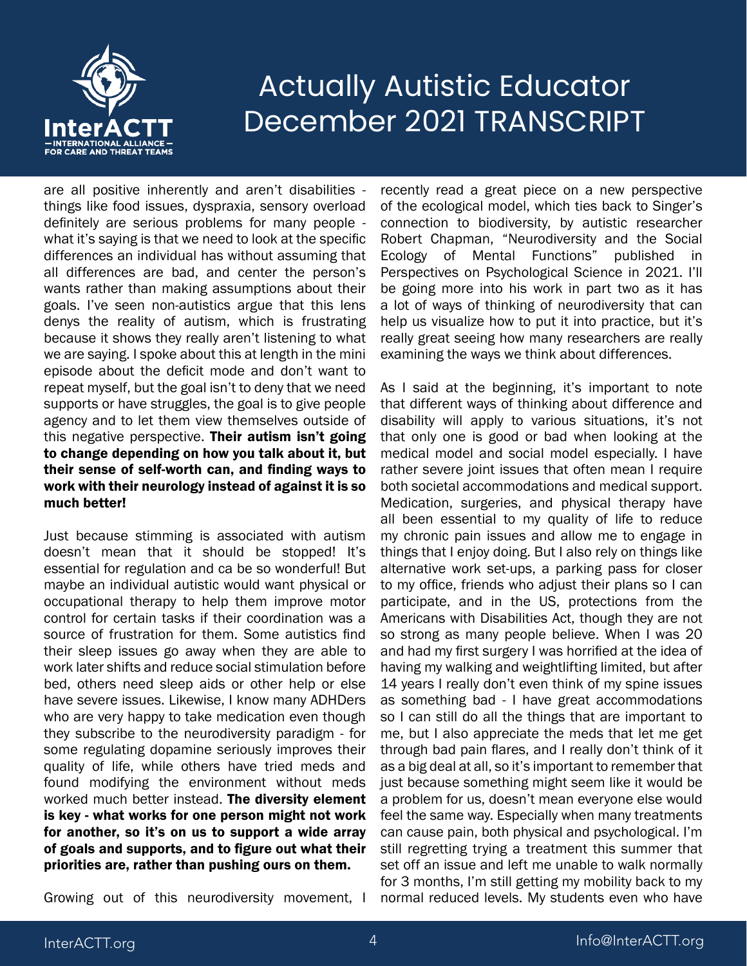

are all positive inherently and aren't disabilities things like food issues, dyspraxia, sensory overload definitely are serious problems for many people what it's saying is that we need to look at the specific differences an individual has without assuming that all differences are bad, and center the person's wants rather than making assumptions about their goals. I've seen non-autistics argue that this lens denys the reality of autism, which is frustrating because it shows they really aren't listening to what we are saying. I spoke about this at length in the mini episode about the deficit mode and don't want to repeat myself, but the goal isn't to deny that we need supports or have struggles, the goal is to give people agency and to let them view themselves outside of this negative perspective. Their autism isn't going to change depending on how you talk about it, but their sense of self-worth can, and finding ways to work with their neurology instead of against it is so much better!

Just because stimming is associated with autism doesn't mean that it should be stopped! It's essential for regulation and ca be so wonderful! But maybe an individual autistic would want physical or occupational therapy to help them improve motor control for certain tasks if their coordination was a source of frustration for them. Some autistics find their sleep issues go away when they are able to work later shifts and reduce social stimulation before bed, others need sleep aids or other help or else have severe issues. Likewise, I know many ADHDers who are very happy to take medication even though they subscribe to the neurodiversity paradigm - for some regulating dopamine seriously improves their quality of life, while others have tried meds and found modifying the environment without meds worked much better instead. The diversity element is key - what works for one person might not work for another, so it's on us to support a wide array of goals and supports, and to figure out what their priorities are, rather than pushing ours on them.

Growing out of this neurodiversity movement, I

recently read a great piece on a new perspective of the ecological model, which ties back to Singer's connection to biodiversity, by autistic researcher Robert Chapman, "Neurodiversity and the Social Ecology of Mental Functions" published in Perspectives on Psychological Science in 2021. I'll be going more into his work in part two as it has a lot of ways of thinking of neurodiversity that can help us visualize how to put it into practice, but it's really great seeing how many researchers are really examining the ways we think about differences.

As I said at the beginning, it's important to note that different ways of thinking about difference and disability will apply to various situations, it's not that only one is good or bad when looking at the medical model and social model especially. I have rather severe joint issues that often mean I require both societal accommodations and medical support. Medication, surgeries, and physical therapy have all been essential to my quality of life to reduce my chronic pain issues and allow me to engage in things that I enjoy doing. But I also rely on things like alternative work set-ups, a parking pass for closer to my office, friends who adjust their plans so I can participate, and in the US, protections from the Americans with Disabilities Act, though they are not so strong as many people believe. When I was 20 and had my first surgery I was horrified at the idea of having my walking and weightlifting limited, but after 14 years I really don't even think of my spine issues as something bad - I have great accommodations so I can still do all the things that are important to me, but I also appreciate the meds that let me get through bad pain flares, and I really don't think of it as a big deal at all, so it's important to remember that just because something might seem like it would be a problem for us, doesn't mean everyone else would feel the same way. Especially when many treatments can cause pain, both physical and psychological. I'm still regretting trying a treatment this summer that set off an issue and left me unable to walk normally for 3 months, I'm still getting my mobility back to my normal reduced levels. My students even who have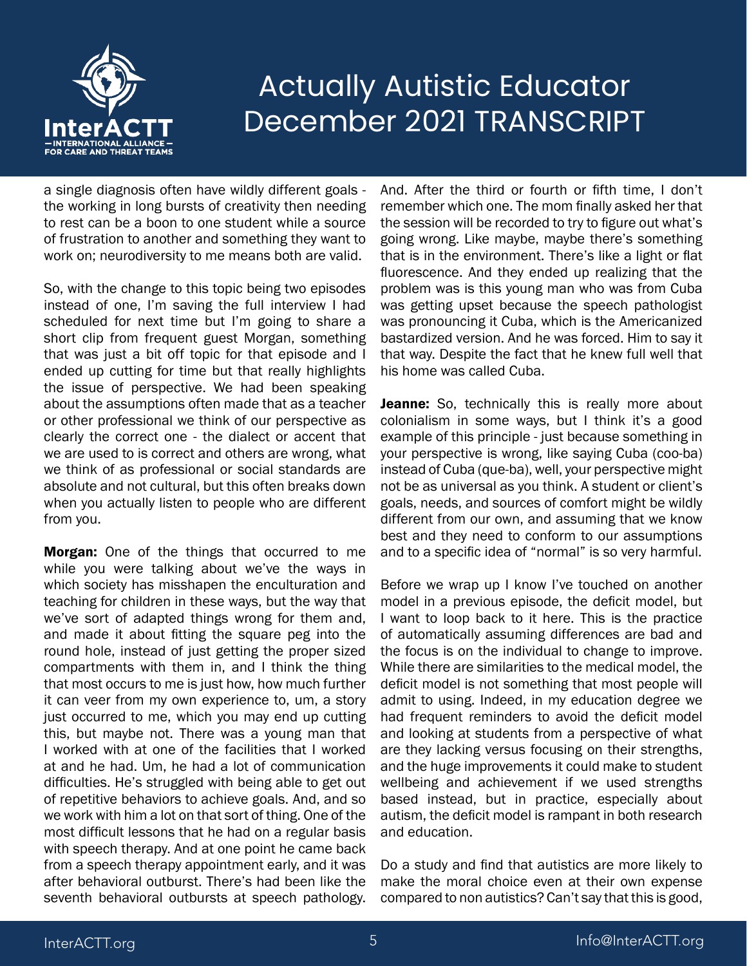

a single diagnosis often have wildly different goals the working in long bursts of creativity then needing to rest can be a boon to one student while a source of frustration to another and something they want to work on; neurodiversity to me means both are valid.

So, with the change to this topic being two episodes instead of one, I'm saving the full interview I had scheduled for next time but I'm going to share a short clip from frequent guest Morgan, something that was just a bit off topic for that episode and I ended up cutting for time but that really highlights the issue of perspective. We had been speaking about the assumptions often made that as a teacher or other professional we think of our perspective as clearly the correct one - the dialect or accent that we are used to is correct and others are wrong, what we think of as professional or social standards are absolute and not cultural, but this often breaks down when you actually listen to people who are different from you.

**Morgan:** One of the things that occurred to me while you were talking about we've the ways in which society has misshapen the enculturation and teaching for children in these ways, but the way that we've sort of adapted things wrong for them and, and made it about fitting the square peg into the round hole, instead of just getting the proper sized compartments with them in, and I think the thing that most occurs to me is just how, how much further it can veer from my own experience to, um, a story just occurred to me, which you may end up cutting this, but maybe not. There was a young man that I worked with at one of the facilities that I worked at and he had. Um, he had a lot of communication difficulties. He's struggled with being able to get out of repetitive behaviors to achieve goals. And, and so we work with him a lot on that sort of thing. One of the most difficult lessons that he had on a regular basis with speech therapy. And at one point he came back from a speech therapy appointment early, and it was after behavioral outburst. There's had been like the seventh behavioral outbursts at speech pathology.

And. After the third or fourth or fifth time, I don't remember which one. The mom finally asked her that the session will be recorded to try to figure out what's going wrong. Like maybe, maybe there's something that is in the environment. There's like a light or flat fluorescence. And they ended up realizing that the problem was is this young man who was from Cuba was getting upset because the speech pathologist was pronouncing it Cuba, which is the Americanized bastardized version. And he was forced. Him to say it that way. Despite the fact that he knew full well that his home was called Cuba.

Jeanne: So, technically this is really more about colonialism in some ways, but I think it's a good example of this principle - just because something in your perspective is wrong, like saying Cuba (coo-ba) instead of Cuba (que-ba), well, your perspective might not be as universal as you think. A student or client's goals, needs, and sources of comfort might be wildly different from our own, and assuming that we know best and they need to conform to our assumptions and to a specific idea of "normal" is so very harmful.

Before we wrap up I know I've touched on another model in a previous episode, the deficit model, but I want to loop back to it here. This is the practice of automatically assuming differences are bad and the focus is on the individual to change to improve. While there are similarities to the medical model, the deficit model is not something that most people will admit to using. Indeed, in my education degree we had frequent reminders to avoid the deficit model and looking at students from a perspective of what are they lacking versus focusing on their strengths, and the huge improvements it could make to student wellbeing and achievement if we used strengths based instead, but in practice, especially about autism, the deficit model is rampant in both research and education.

Do a study and find that autistics are more likely to make the moral choice even at their own expense compared to non autistics? Can't say that this is good,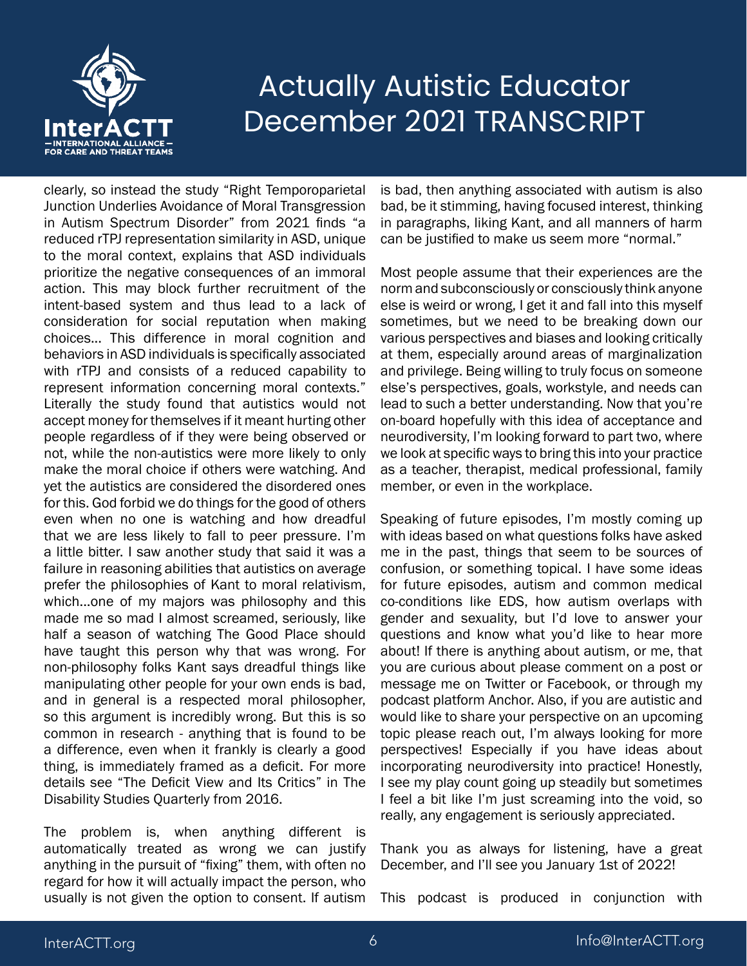

clearly, so instead the study "Right Temporoparietal Junction Underlies Avoidance of Moral Transgression in Autism Spectrum Disorder" from 2021 finds "a reduced rTPJ representation similarity in ASD, unique to the moral context, explains that ASD individuals prioritize the negative consequences of an immoral action. This may block further recruitment of the intent-based system and thus lead to a lack of consideration for social reputation when making choices... This difference in moral cognition and behaviors in ASD individuals is specifically associated with rTPJ and consists of a reduced capability to represent information concerning moral contexts." Literally the study found that autistics would not accept money for themselves if it meant hurting other people regardless of if they were being observed or not, while the non-autistics were more likely to only make the moral choice if others were watching. And yet the autistics are considered the disordered ones for this. God forbid we do things for the good of others even when no one is watching and how dreadful that we are less likely to fall to peer pressure. I'm a little bitter. I saw another study that said it was a failure in reasoning abilities that autistics on average prefer the philosophies of Kant to moral relativism, which...one of my majors was philosophy and this made me so mad I almost screamed, seriously, like half a season of watching The Good Place should have taught this person why that was wrong. For non-philosophy folks Kant says dreadful things like manipulating other people for your own ends is bad, and in general is a respected moral philosopher, so this argument is incredibly wrong. But this is so common in research - anything that is found to be a difference, even when it frankly is clearly a good thing, is immediately framed as a deficit. For more details see "The Deficit View and Its Critics" in The Disability Studies Quarterly from 2016.

The problem is, when anything different is automatically treated as wrong we can justify anything in the pursuit of "fixing" them, with often no regard for how it will actually impact the person, who usually is not given the option to consent. If autism is bad, then anything associated with autism is also bad, be it stimming, having focused interest, thinking in paragraphs, liking Kant, and all manners of harm can be justified to make us seem more "normal."

Most people assume that their experiences are the norm and subconsciously or consciously think anyone else is weird or wrong, I get it and fall into this myself sometimes, but we need to be breaking down our various perspectives and biases and looking critically at them, especially around areas of marginalization and privilege. Being willing to truly focus on someone else's perspectives, goals, workstyle, and needs can lead to such a better understanding. Now that you're on-board hopefully with this idea of acceptance and neurodiversity, I'm looking forward to part two, where we look at specific ways to bring this into your practice as a teacher, therapist, medical professional, family member, or even in the workplace.

Speaking of future episodes, I'm mostly coming up with ideas based on what questions folks have asked me in the past, things that seem to be sources of confusion, or something topical. I have some ideas for future episodes, autism and common medical co-conditions like EDS, how autism overlaps with gender and sexuality, but I'd love to answer your questions and know what you'd like to hear more about! If there is anything about autism, or me, that you are curious about please comment on a post or message me on Twitter or Facebook, or through my podcast platform Anchor. Also, if you are autistic and would like to share your perspective on an upcoming topic please reach out, I'm always looking for more perspectives! Especially if you have ideas about incorporating neurodiversity into practice! Honestly, I see my play count going up steadily but sometimes I feel a bit like I'm just screaming into the void, so really, any engagement is seriously appreciated.

Thank you as always for listening, have a great December, and I'll see you January 1st of 2022!

This podcast is produced in conjunction with